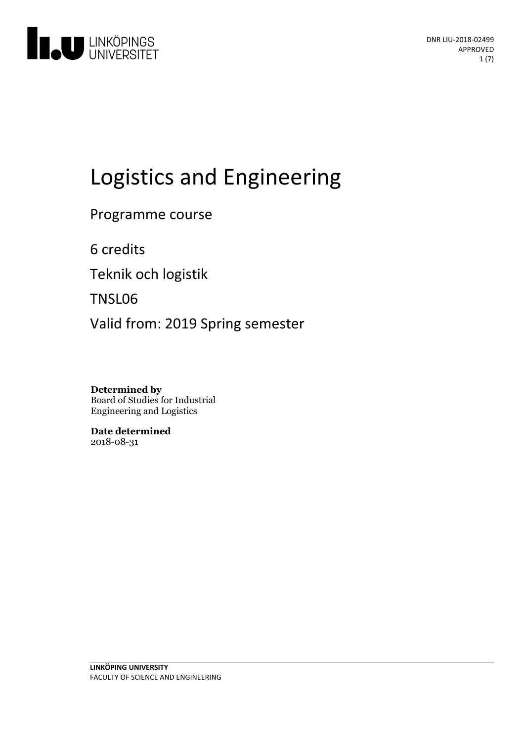

# Logistics and Engineering

Programme course

6 credits

Teknik och logistik

TNSL06

Valid from: 2019 Spring semester

**Determined by** Board of Studies for Industrial Engineering and Logistics

**Date determined** 2018-08-31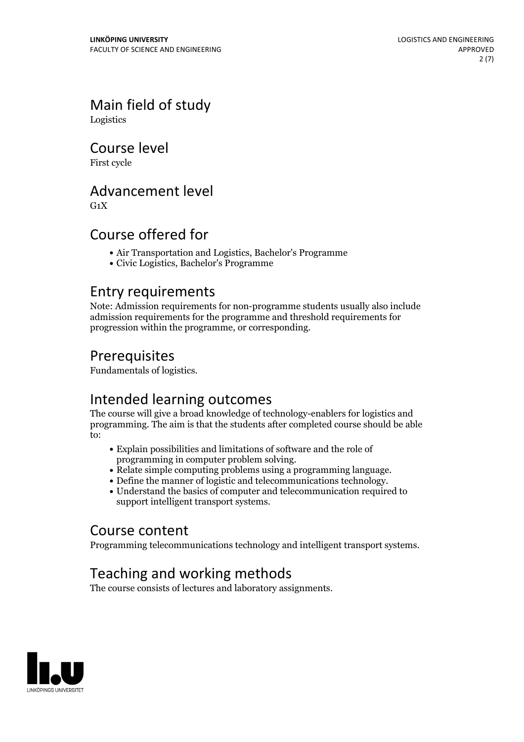Main field of study Logistics

Course level

First cycle

### Advancement level

 $G_1X$ 

## Course offered for

- Air Transportation and Logistics, Bachelor's Programme
- Civic Logistics, Bachelor's Programme

### Entry requirements

Note: Admission requirements for non-programme students usually also include admission requirements for the programme and threshold requirements for progression within the programme, or corresponding.

## Prerequisites

Fundamentals of logistics.

## Intended learning outcomes

The course will give a broad knowledge of technology-enablers for logistics and programming. The aim is that the students after completed course should be able to:

- Explain possibilities and limitations of software and the role of
- 
- Relate simple computing problems using a programming language.<br>• Define the manner of logistic and telecommunications technology.<br>• Understand the basics of computer and telecommunication required to
- support intelligent transport systems.

# Course content

Programming telecommunications technology and intelligent transport systems.

# Teaching and working methods

The course consists of lectures and laboratory assignments.

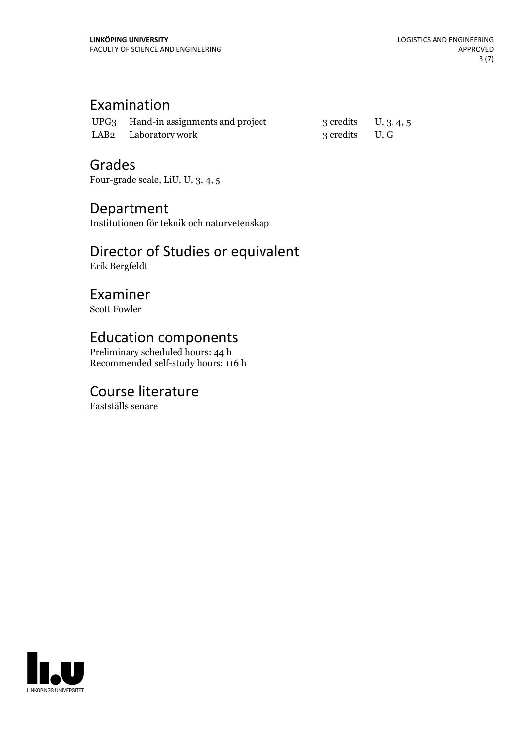# Examination

| UPG3 Hand-in assignments and project | 3 credits $U, 3, 4, 5$ |  |
|--------------------------------------|------------------------|--|
| LAB <sub>2</sub> Laboratory work     | 3 credits U, G         |  |

### Grades

Four-grade scale, LiU, U, 3, 4, 5

### Department

Institutionen för teknik och naturvetenskap

# Director of Studies or equivalent

Erik Bergfeldt

# Examiner

Scott Fowler

# Education components

Preliminary scheduled hours: 44 h Recommended self-study hours: 116 h

# Course literature

Fastställs senare

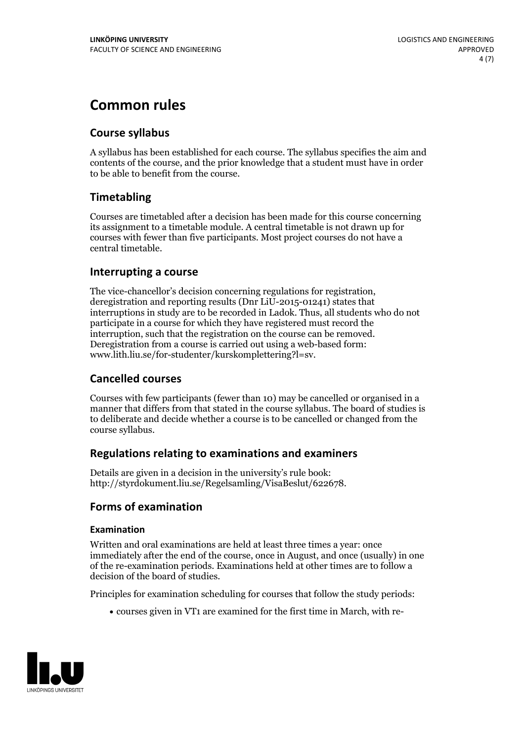# **Common rules**

### **Course syllabus**

A syllabus has been established for each course. The syllabus specifies the aim and contents of the course, and the prior knowledge that a student must have in order to be able to benefit from the course.

### **Timetabling**

Courses are timetabled after a decision has been made for this course concerning its assignment to a timetable module. A central timetable is not drawn up for courses with fewer than five participants. Most project courses do not have a central timetable.

### **Interrupting a course**

The vice-chancellor's decision concerning regulations for registration, deregistration and reporting results (Dnr LiU-2015-01241) states that interruptions in study are to be recorded in Ladok. Thus, all students who do not participate in a course for which they have registered must record the interruption, such that the registration on the course can be removed. Deregistration from <sup>a</sup> course is carried outusing <sup>a</sup> web-based form: www.lith.liu.se/for-studenter/kurskomplettering?l=sv.

### **Cancelled courses**

Courses with few participants (fewer than 10) may be cancelled or organised in a manner that differs from that stated in the course syllabus. The board of studies is to deliberate and decide whether a course is to be cancelled orchanged from the course syllabus.

### **Regulations relatingto examinations and examiners**

Details are given in a decision in the university's rule book: http://styrdokument.liu.se/Regelsamling/VisaBeslut/622678.

### **Forms of examination**

### **Examination**

Written and oral examinations are held at least three times a year: once immediately after the end of the course, once in August, and once (usually) in one of the re-examination periods. Examinations held at other times are to follow a decision of the board of studies.

Principles for examination scheduling for courses that follow the study periods:

courses given in VT1 are examined for the first time in March, with re-

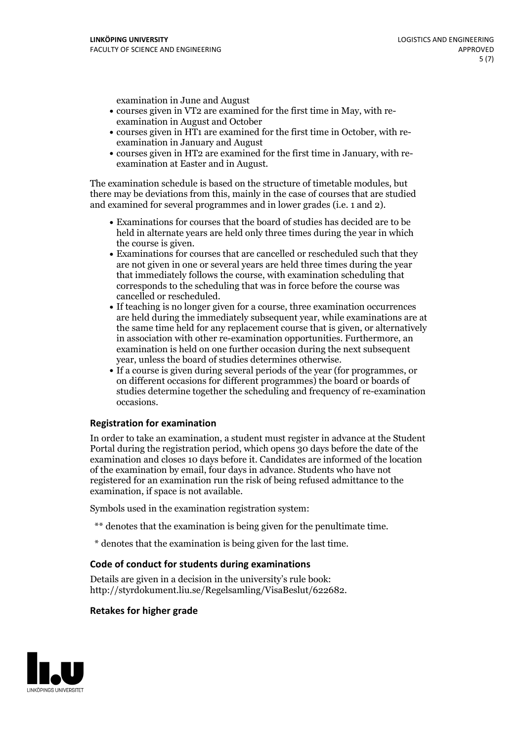examination in June and August

- courses given in VT2 are examined for the first time in May, with re-examination in August and October
- courses given in HT1 are examined for the first time in October, with re-examination in January and August
- courses given in HT2 are examined for the first time in January, with re-examination at Easter and in August.

The examination schedule is based on the structure of timetable modules, but there may be deviations from this, mainly in the case of courses that are studied and examined for several programmes and in lower grades (i.e. 1 and 2).

- Examinations for courses that the board of studies has decided are to be held in alternate years are held only three times during the year in which
- the course is given.<br>• Examinations for courses that are cancelled or rescheduled such that they are not given in one or several years are held three times during the year that immediately follows the course, with examination scheduling that corresponds to the scheduling that was in force before the course was cancelled or rescheduled.<br>• If teaching is no longer given for a course, three examination occurrences
- are held during the immediately subsequent year, while examinations are at the same time held for any replacement course that is given, or alternatively in association with other re-examination opportunities. Furthermore, an examination is held on one further occasion during the next subsequent year, unless the board of studies determines otherwise.<br>• If a course is given during several periods of the year (for programmes, or
- on different occasions for different programmes) the board orboards of studies determine together the scheduling and frequency of re-examination occasions.

#### **Registration for examination**

In order to take an examination, a student must register in advance at the Student Portal during the registration period, which opens 30 days before the date of the examination and closes 10 days before it. Candidates are informed of the location of the examination by email, four days in advance. Students who have not registered for an examination run the risk of being refused admittance to the examination, if space is not available.

Symbols used in the examination registration system:

- \*\* denotes that the examination is being given for the penultimate time.
- \* denotes that the examination is being given for the last time.

#### **Code of conduct for students during examinations**

Details are given in a decision in the university's rule book: http://styrdokument.liu.se/Regelsamling/VisaBeslut/622682.

#### **Retakes for higher grade**

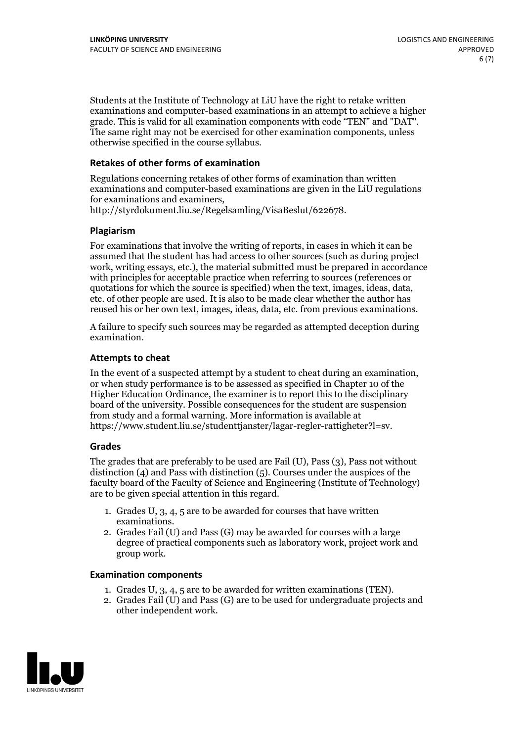Students at the Institute of Technology at LiU have the right to retake written examinations and computer-based examinations in an attempt to achieve a higher grade. This is valid for all examination components with code "TEN" and "DAT". The same right may not be exercised for other examination components, unless otherwise specified in the course syllabus.

#### **Retakes of other forms of examination**

Regulations concerning retakes of other forms of examination than written examinations and computer-based examinations are given in the LiU regulations for examinations and examiners, http://styrdokument.liu.se/Regelsamling/VisaBeslut/622678.

#### **Plagiarism**

For examinations that involve the writing of reports, in cases in which it can be assumed that the student has had access to other sources (such as during project work, writing essays, etc.), the material submitted must be prepared in accordance with principles for acceptable practice when referring to sources (references or quotations for which the source is specified) when the text, images, ideas, data, etc. of other people are used. It is also to be made clear whether the author has reused his or her own text, images, ideas, data, etc. from previous examinations.

A failure to specify such sources may be regarded as attempted deception during examination.

#### **Attempts to cheat**

In the event of <sup>a</sup> suspected attempt by <sup>a</sup> student to cheat during an examination, or when study performance is to be assessed as specified in Chapter <sup>10</sup> of the Higher Education Ordinance, the examiner is to report this to the disciplinary board of the university. Possible consequences for the student are suspension from study and a formal warning. More information is available at https://www.student.liu.se/studenttjanster/lagar-regler-rattigheter?l=sv.

#### **Grades**

The grades that are preferably to be used are Fail (U), Pass (3), Pass not without distinction  $(4)$  and Pass with distinction  $(5)$ . Courses under the auspices of the faculty board of the Faculty of Science and Engineering (Institute of Technology) are to be given special attention in this regard.

- 1. Grades U, 3, 4, 5 are to be awarded for courses that have written
- examinations. 2. Grades Fail (U) and Pass (G) may be awarded for courses with <sup>a</sup> large degree of practical components such as laboratory work, project work and group work.

#### **Examination components**

- 
- 1. Grades U, 3, 4, <sup>5</sup> are to be awarded for written examinations (TEN). 2. Grades Fail (U) and Pass (G) are to be used for undergraduate projects and other independent work.